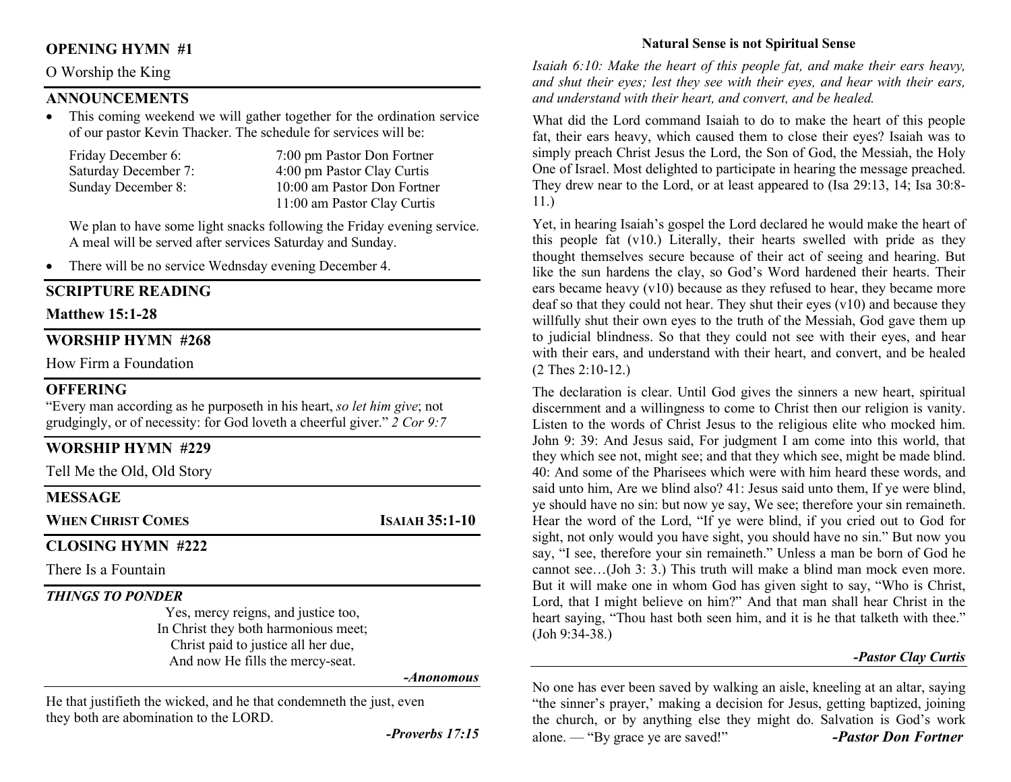## OPENING HYMN #1

## O Worship the King

## ANNOUNCEMENTS

 This coming weekend we will gather together for the ordination service of our pastor Kevin Thacker. The schedule for services will be:

| Friday December 6:   | 7:00 pm Pastor Don Fortner  |
|----------------------|-----------------------------|
| Saturday December 7: | 4:00 pm Pastor Clay Curtis  |
| Sunday December 8:   | 10:00 am Pastor Don Fortner |
|                      | 11:00 am Pastor Clay Curtis |

We plan to have some light snacks following the Friday evening service. A meal will be served after services Saturday and Sunday.

• There will be no service Wednsday evening December 4.

#### SCRIPTURE READING

#### Matthew 15:1-28

## WORSHIP HYMN #268

How Firm a Foundation

### **OFFERING**

"Every man according as he purposeth in his heart, so let him give; not grudgingly, or of necessity: for God loveth a cheerful giver."  $2$  Cor 9:7

#### WORSHIP HYMN #229

Tell Me the Old, Old Story

#### MESSAGE

WHEN CHRIST COMES **ISAIAH 35:1-10** 

## CLOSING HYMN #222

There Is a Fountain

## THINGS TO PONDER

Yes, mercy reigns, and justice too, In Christ they both harmonious meet; Christ paid to justice all her due, And now He fills the mercy-seat.

#### -Anonomous

He that justifieth the wicked, and he that condemneth the just, even they both are abomination to the LORD.

-Proverbs 17:15

## Natural Sense is not Spiritual Sense

Isaiah 6:10: Make the heart of this people fat, and make their ears heavy, and shut their eyes; lest they see with their eyes, and hear with their ears, and understand with their heart, and convert, and be healed.

What did the Lord command Isaiah to do to make the heart of this people fat, their ears heavy, which caused them to close their eyes? Isaiah was to simply preach Christ Jesus the Lord, the Son of God, the Messiah, the Holy One of Israel. Most delighted to participate in hearing the message preached. They drew near to the Lord, or at least appeared to (Isa 29:13, 14; Isa 30:8- 11.)

Yet, in hearing Isaiah's gospel the Lord declared he would make the heart of this people fat (v10.) Literally, their hearts swelled with pride as they thought themselves secure because of their act of seeing and hearing. But like the sun hardens the clay, so God's Word hardened their hearts. Their ears became heavy (v10) because as they refused to hear, they became more deaf so that they could not hear. They shut their eyes (v10) and because they willfully shut their own eyes to the truth of the Messiah, God gave them up to judicial blindness. So that they could not see with their eyes, and hear with their ears, and understand with their heart, and convert, and be healed (2 Thes 2:10-12.)

The declaration is clear. Until God gives the sinners a new heart, spiritual discernment and a willingness to come to Christ then our religion is vanity. Listen to the words of Christ Jesus to the religious elite who mocked him. John 9: 39: And Jesus said, For judgment I am come into this world, that they which see not, might see; and that they which see, might be made blind. 40: And some of the Pharisees which were with him heard these words, and said unto him, Are we blind also? 41: Jesus said unto them, If ye were blind, ye should have no sin: but now ye say, We see; therefore your sin remaineth. Hear the word of the Lord, "If ye were blind, if you cried out to God for sight, not only would you have sight, you should have no sin." But now you say, "I see, therefore your sin remaineth." Unless a man be born of God he cannot see…(Joh 3: 3.) This truth will make a blind man mock even more. But it will make one in whom God has given sight to say, "Who is Christ, Lord, that I might believe on him?" And that man shall hear Christ in the heart saying, "Thou hast both seen him, and it is he that talketh with thee." (Joh 9:34-38.)

#### -Pastor Clay Curtis

No one has ever been saved by walking an aisle, kneeling at an altar, saying "the sinner's prayer,' making a decision for Jesus, getting baptized, joining the church, or by anything else they might do. Salvation is God's work alone. — "By grace ye are saved!" -Pastor Don Fortner